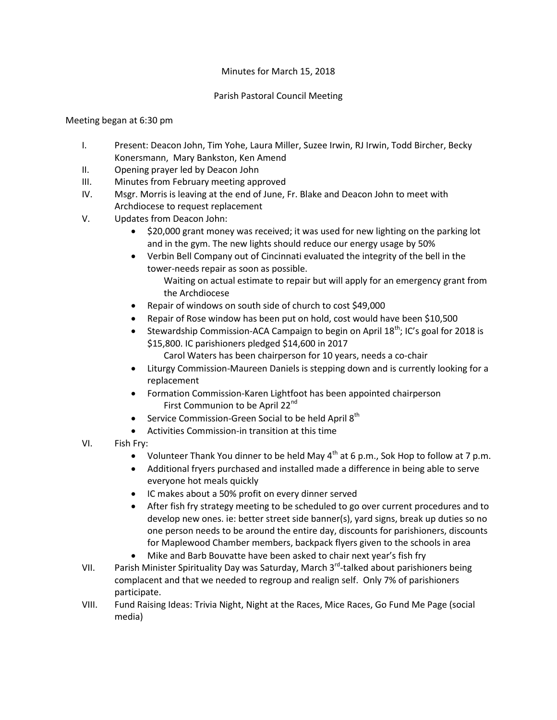## Minutes for March 15, 2018

## Parish Pastoral Council Meeting

## Meeting began at 6:30 pm

- I. Present: Deacon John, Tim Yohe, Laura Miller, Suzee Irwin, RJ Irwin, Todd Bircher, Becky Konersmann, Mary Bankston, Ken Amend
- II. Opening prayer led by Deacon John
- III. Minutes from February meeting approved
- IV. Msgr. Morris is leaving at the end of June, Fr. Blake and Deacon John to meet with Archdiocese to request replacement
- V. Updates from Deacon John:
	- \$20,000 grant money was received; it was used for new lighting on the parking lot and in the gym. The new lights should reduce our energy usage by 50%
	- Verbin Bell Company out of Cincinnati evaluated the integrity of the bell in the tower-needs repair as soon as possible.
		- Waiting on actual estimate to repair but will apply for an emergency grant from the Archdiocese
	- Repair of windows on south side of church to cost \$49,000
	- Repair of Rose window has been put on hold, cost would have been \$10,500
	- Stewardship Commission-ACA Campaign to begin on April  $18^{th}$ ; IC's goal for 2018 is \$15,800. IC parishioners pledged \$14,600 in 2017

Carol Waters has been chairperson for 10 years, needs a co-chair

- Liturgy Commission-Maureen Daniels is stepping down and is currently looking for a replacement
- Formation Commission-Karen Lightfoot has been appointed chairperson First Communion to be April 22<sup>nd</sup>
- Service Commission-Green Social to be held April 8<sup>th</sup>
- Activities Commission-in transition at this time
- VI. Fish Fry:
	- Volunteer Thank You dinner to be held May  $4<sup>th</sup>$  at 6 p.m., Sok Hop to follow at 7 p.m.
	- Additional fryers purchased and installed made a difference in being able to serve everyone hot meals quickly
	- IC makes about a 50% profit on every dinner served
	- After fish fry strategy meeting to be scheduled to go over current procedures and to develop new ones. ie: better street side banner(s), yard signs, break up duties so no one person needs to be around the entire day, discounts for parishioners, discounts for Maplewood Chamber members, backpack flyers given to the schools in area
	- Mike and Barb Bouvatte have been asked to chair next year's fish fry
- VII. Parish Minister Spirituality Day was Saturday, March 3<sup>rd</sup>-talked about parishioners being complacent and that we needed to regroup and realign self. Only 7% of parishioners participate.
- VIII. Fund Raising Ideas: Trivia Night, Night at the Races, Mice Races, Go Fund Me Page (social media)